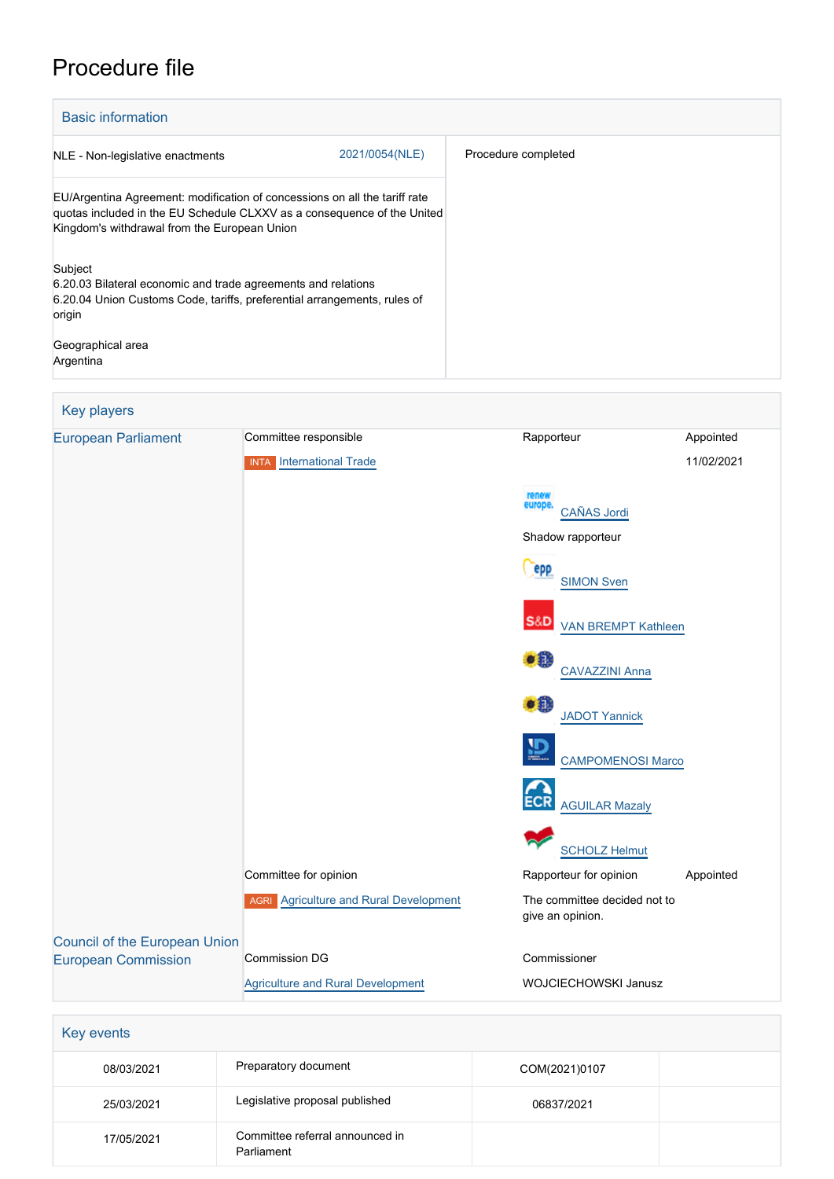## Procedure file

| <b>Basic information</b>                                                                                                                                                                              |                |                     |
|-------------------------------------------------------------------------------------------------------------------------------------------------------------------------------------------------------|----------------|---------------------|
| NLE - Non-legislative enactments                                                                                                                                                                      | 2021/0054(NLE) | Procedure completed |
| EU/Argentina Agreement: modification of concessions on all the tariff rate<br>quotas included in the EU Schedule CLXXV as a consequence of the United<br>Kingdom's withdrawal from the European Union |                |                     |
| Subject<br>6.20.03 Bilateral economic and trade agreements and relations<br>6.20.04 Union Customs Code, tariffs, preferential arrangements, rules of<br>origin                                        |                |                     |
| Geographical area<br>Argentina                                                                                                                                                                        |                |                     |

| <b>Key players</b>                   |                                               |                                                  |            |
|--------------------------------------|-----------------------------------------------|--------------------------------------------------|------------|
| <b>European Parliament</b>           | Committee responsible                         | Rapporteur                                       | Appointed  |
|                                      | <b>INTA</b> International Trade               |                                                  | 11/02/2021 |
|                                      |                                               | renew<br>europe.<br>CAÑAS Jordi                  |            |
|                                      |                                               | Shadow rapporteur                                |            |
|                                      |                                               | <b>epp</b><br><b>SIMON Sven</b>                  |            |
|                                      |                                               | <b>S&amp;D</b><br>VAN BREMPT Kathleen            |            |
|                                      |                                               | DB 1<br><b>CAVAZZINI Anna</b>                    |            |
|                                      |                                               | XI.<br><b>JADOT Yannick</b>                      |            |
|                                      |                                               | <b>CAMPOMENOSI Marco</b>                         |            |
|                                      |                                               | <b>AGUILAR Mazaly</b>                            |            |
|                                      |                                               | <b>SCHOLZ Helmut</b>                             |            |
|                                      | Committee for opinion                         | Rapporteur for opinion                           | Appointed  |
|                                      | <b>AGRI</b> Agriculture and Rural Development | The committee decided not to<br>give an opinion. |            |
| <b>Council of the European Union</b> |                                               |                                                  |            |
| <b>European Commission</b>           | <b>Commission DG</b>                          | Commissioner                                     |            |
|                                      | <b>Agriculture and Rural Development</b>      | WOJCIECHOWSKI Janusz                             |            |

| Key events |                                               |               |  |
|------------|-----------------------------------------------|---------------|--|
| 08/03/2021 | Preparatory document                          | COM(2021)0107 |  |
| 25/03/2021 | Legislative proposal published                | 06837/2021    |  |
| 17/05/2021 | Committee referral announced in<br>Parliament |               |  |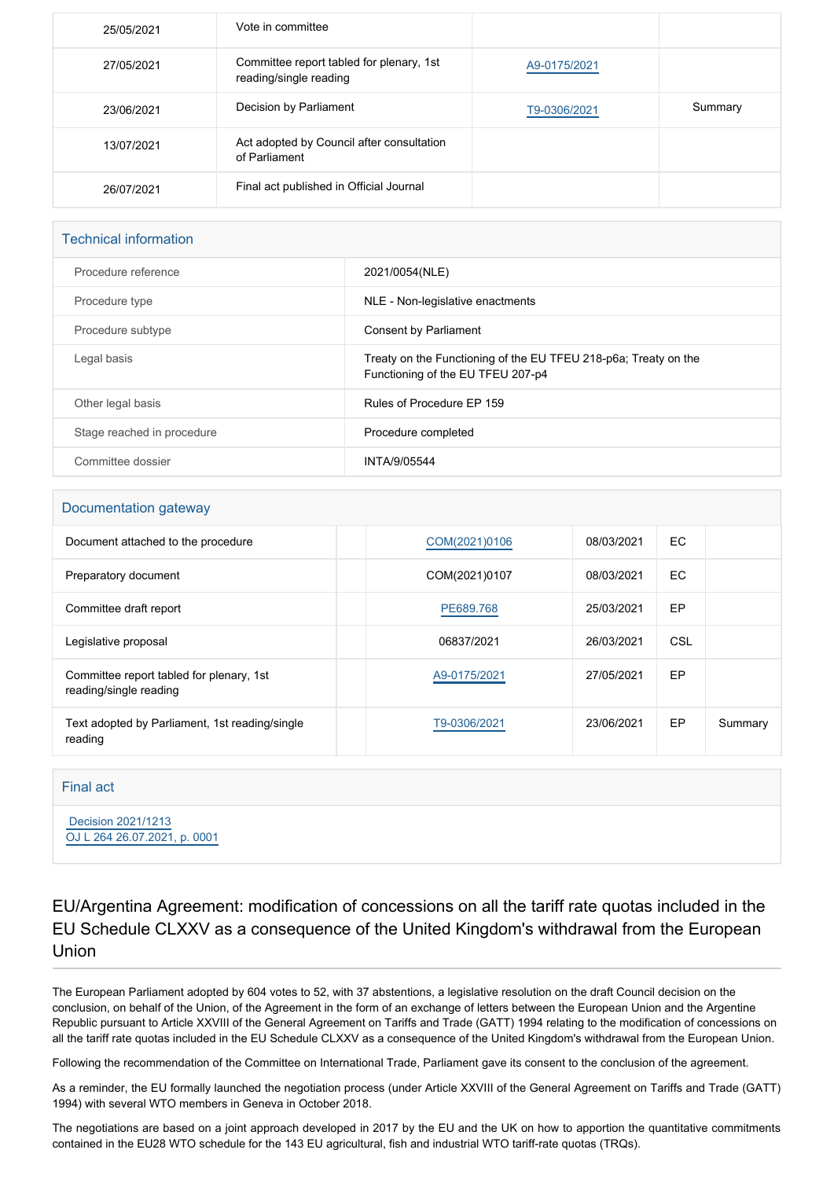| 25/05/2021 | Vote in committee                                                  |              |         |
|------------|--------------------------------------------------------------------|--------------|---------|
| 27/05/2021 | Committee report tabled for plenary, 1st<br>reading/single reading | A9-0175/2021 |         |
| 23/06/2021 | Decision by Parliament                                             | T9-0306/2021 | Summary |
| 13/07/2021 | Act adopted by Council after consultation<br>of Parliament         |              |         |
| 26/07/2021 | Final act published in Official Journal                            |              |         |

## Technical information

| Procedure reference        | 2021/0054(NLE)                                                                                       |
|----------------------------|------------------------------------------------------------------------------------------------------|
| Procedure type             | NLE - Non-legislative enactments                                                                     |
| Procedure subtype          | Consent by Parliament                                                                                |
| Legal basis                | Treaty on the Functioning of the EU TFEU 218-p6a; Treaty on the<br>Functioning of the EU TFEU 207-p4 |
| Other legal basis          | Rules of Procedure EP 159                                                                            |
| Stage reached in procedure | Procedure completed                                                                                  |
| Committee dossier          | INTA/9/05544                                                                                         |

## Documentation gateway

| Document attached to the procedure                                 | COM(2021)0106 | 08/03/2021 | EC  |         |
|--------------------------------------------------------------------|---------------|------------|-----|---------|
| Preparatory document                                               | COM(2021)0107 | 08/03/2021 | EC  |         |
| Committee draft report                                             | PE689.768     | 25/03/2021 | EP  |         |
| Legislative proposal                                               | 06837/2021    | 26/03/2021 | CSL |         |
| Committee report tabled for plenary, 1st<br>reading/single reading | A9-0175/2021  | 27/05/2021 | EP  |         |
| Text adopted by Parliament, 1st reading/single<br>reading          | T9-0306/2021  | 23/06/2021 | EP  | Summary |

## Final act

 [Decision 2021/1213](https://eur-lex.europa.eu/smartapi/cgi/sga_doc?smartapi!celexplus!prod!CELEXnumdoc&lg=EN&numdoc=32021D1213) [OJ L 264 26.07.2021, p. 0001](https://eur-lex.europa.eu/legal-content/EN/TXT/?uri=OJ:L:2021:264:TOC)

EU/Argentina Agreement: modification of concessions on all the tariff rate quotas included in the EU Schedule CLXXV as a consequence of the United Kingdom's withdrawal from the European Union

The European Parliament adopted by 604 votes to 52, with 37 abstentions, a legislative resolution on the draft Council decision on the conclusion, on behalf of the Union, of the Agreement in the form of an exchange of letters between the European Union and the Argentine Republic pursuant to Article XXVIII of the General Agreement on Tariffs and Trade (GATT) 1994 relating to the modification of concessions on all the tariff rate quotas included in the EU Schedule CLXXV as a consequence of the United Kingdom's withdrawal from the European Union.

Following the recommendation of the Committee on International Trade, Parliament gave its consent to the conclusion of the agreement.

As a reminder, the EU formally launched the negotiation process (under Article XXVIII of the General Agreement on Tariffs and Trade (GATT) 1994) with several WTO members in Geneva in October 2018.

The negotiations are based on a joint approach developed in 2017 by the EU and the UK on how to apportion the quantitative commitments contained in the EU28 WTO schedule for the 143 EU agricultural, fish and industrial WTO tariff-rate quotas (TRQs).